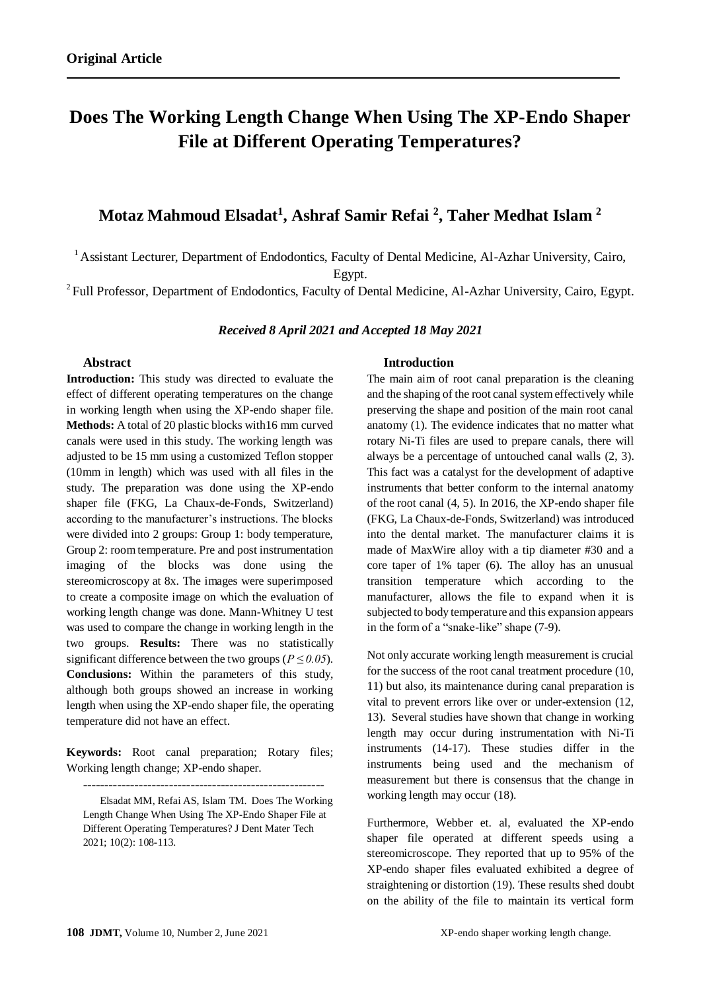# **Does The Working Length Change When Using The XP-Endo Shaper File at Different Operating Temperatures?**

## **Motaz Mahmoud Elsadat<sup>1</sup> , Ashraf Samir Refai <sup>2</sup> , Taher Medhat Islam <sup>2</sup>**

<sup>1</sup> Assistant Lecturer, Department of Endodontics, Faculty of Dental Medicine, Al-Azhar University, Cairo, Egypt.

<sup>2</sup> Full Professor, Department of Endodontics, Faculty of Dental Medicine, Al-Azhar University, Cairo, Egypt.

#### *Received 8 April 2021 and Accepted 18 May 2021*

## **Abstract**

**Introduction:** This study was directed to evaluate the effect of different operating temperatures on the change in working length when using the XP-endo shaper file. **Methods:** A total of 20 plastic blocks with16 mm curved canals were used in this study. The working length was adjusted to be 15 mm using a customized Teflon stopper (10mm in length) which was used with all files in the study. The preparation was done using the XP-endo shaper file (FKG, La Chaux-de-Fonds, Switzerland) according to the manufacturer's instructions. The blocks were divided into 2 groups: Group 1: body temperature, Group 2: room temperature. Pre and post instrumentation imaging of the blocks was done using the stereomicroscopy at 8x. The images were superimposed to create a composite image on which the evaluation of working length change was done. Mann-Whitney U test was used to compare the change in working length in the two groups. **Results:** There was no statistically significant difference between the two groups ( $P \le 0.05$ ). **Conclusions:** Within the parameters of this study, although both groups showed an increase in working length when using the XP-endo shaper file, the operating temperature did not have an effect.

**Keywords:** Root canal preparation; Rotary files; Working length change; XP-endo shaper.

--------------------------------------------------------

Elsadat MM, Refai AS, Islam TM. Does The Working Length Change When Using The XP-Endo Shaper File at Different Operating Temperatures? J Dent Mater Tech 2021; 10(2): 108-113.

## **Introduction**

The main aim of root canal preparation is the cleaning and the shaping of the root canal system effectively while preserving the shape and position of the main root canal anatomy (1). The evidence indicates that no matter what rotary Ni-Ti files are used to prepare canals, there will always be a percentage of untouched canal walls (2, 3). This fact was a catalyst for the development of adaptive instruments that better conform to the internal anatomy of the root canal (4, 5). In 2016, the XP-endo shaper file (FKG, La Chaux-de-Fonds, Switzerland) was introduced into the dental market. The manufacturer claims it is made of MaxWire alloy with a tip diameter #30 and a core taper of 1% taper (6). The alloy has an unusual transition temperature which according to the manufacturer, allows the file to expand when it is subjected to body temperature and this expansion appears in the form of a "snake-like" shape (7-9).

Not only accurate working length measurement is crucial for the success of the root canal treatment procedure (10, 11) but also, its maintenance during canal preparation is vital to prevent errors like over or under-extension (12, 13). Several studies have shown that change in working length may occur during instrumentation with Ni-Ti instruments (14-17). These studies differ in the instruments being used and the mechanism of measurement but there is consensus that the change in working length may occur (18).

Furthermore, Webber et. al, evaluated the XP-endo shaper file operated at different speeds using a stereomicroscope. They reported that up to 95% of the XP-endo shaper files evaluated exhibited a degree of straightening or distortion (19). These results shed doubt on the ability of the file to maintain its vertical form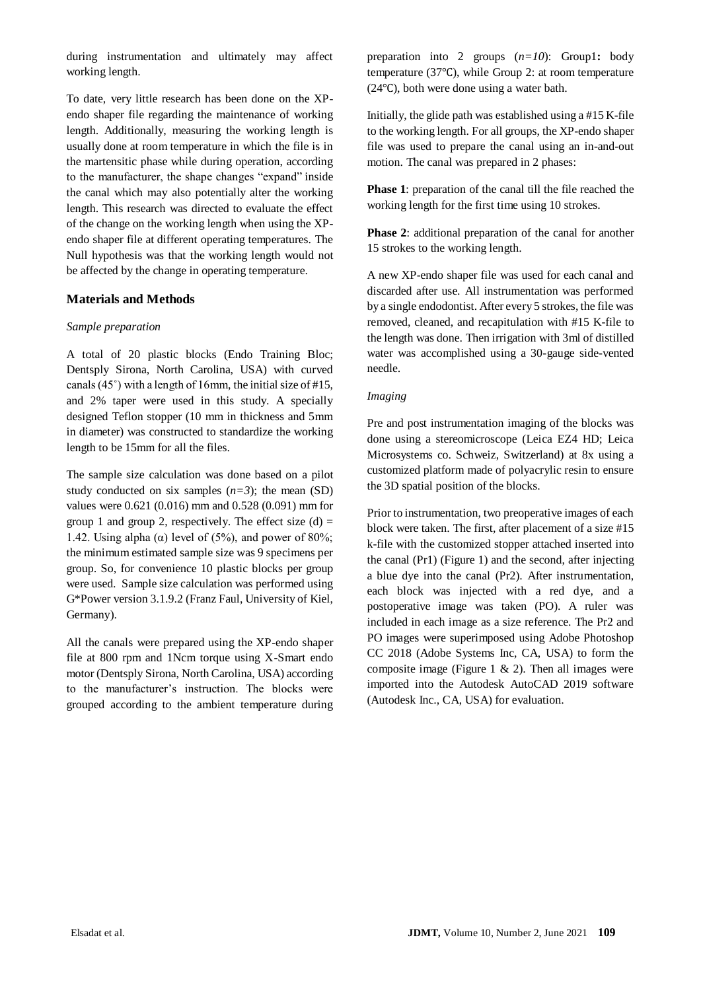during instrumentation and ultimately may affect working length.

To date, very little research has been done on the XPendo shaper file regarding the maintenance of working length. Additionally, measuring the working length is usually done at room temperature in which the file is in the martensitic phase while during operation, according to the manufacturer, the shape changes "expand" inside the canal which may also potentially alter the working length. This research was directed to evaluate the effect of the change on the working length when using the XPendo shaper file at different operating temperatures. The Null hypothesis was that the working length would not be affected by the change in operating temperature.

## **Materials and Methods**

## *Sample preparation*

A total of 20 plastic blocks (Endo Training Bloc; Dentsply Sirona, North Carolina, USA) with curved canals (45˚) with a length of 16mm, the initial size of #15, and 2% taper were used in this study. A specially designed Teflon stopper (10 mm in thickness and 5mm in diameter) was constructed to standardize the working length to be 15mm for all the files.

The sample size calculation was done based on a pilot study conducted on six samples  $(n=3)$ ; the mean (SD) values were 0.621 (0.016) mm and 0.528 (0.091) mm for group 1 and group 2, respectively. The effect size  $(d)$  = 1.42. Using alpha ( $\alpha$ ) level of (5%), and power of 80%; the minimum estimated sample size was 9 specimens per group. So, for convenience 10 plastic blocks per group were used. Sample size calculation was performed using G\*Power version 3.1.9.2 (Franz Faul, University of Kiel, Germany).

All the canals were prepared using the XP-endo shaper file at 800 rpm and 1Ncm torque using X-Smart endo motor (Dentsply Sirona, North Carolina, USA) according to the manufacturer's instruction. The blocks were grouped according to the ambient temperature during

preparation into 2 groups (*n=10*): Group1**:** body temperature (37℃), while Group 2: at room temperature (24℃), both were done using a water bath.

Initially, the glide path was established using a #15 K-file to the working length. For all groups, the XP-endo shaper file was used to prepare the canal using an in-and-out motion. The canal was prepared in 2 phases:

**Phase 1**: preparation of the canal till the file reached the working length for the first time using 10 strokes.

**Phase 2**: additional preparation of the canal for another 15 strokes to the working length.

A new XP-endo shaper file was used for each canal and discarded after use. All instrumentation was performed by a single endodontist. After every 5 strokes, the file was removed, cleaned, and recapitulation with #15 K-file to the length was done. Then irrigation with 3ml of distilled water was accomplished using a 30-gauge side-vented needle.

## *Imaging*

Pre and post instrumentation imaging of the blocks was done using a stereomicroscope (Leica EZ4 HD; Leica Microsystems co. Schweiz, Switzerland) at 8x using a customized platform made of polyacrylic resin to ensure the 3D spatial position of the blocks.

Prior to instrumentation, two preoperative images of each block were taken. The first, after placement of a size #15 k-file with the customized stopper attached inserted into the canal (Pr1) (Figure 1) and the second, after injecting a blue dye into the canal (Pr2). After instrumentation, each block was injected with a red dye, and a postoperative image was taken (PO). A ruler was included in each image as a size reference. The Pr2 and PO images were superimposed using Adobe Photoshop CC 2018 (Adobe Systems Inc, CA, USA) to form the composite image (Figure 1  $\&$  2). Then all images were imported into the Autodesk AutoCAD 2019 software (Autodesk Inc., CA, USA) for evaluation.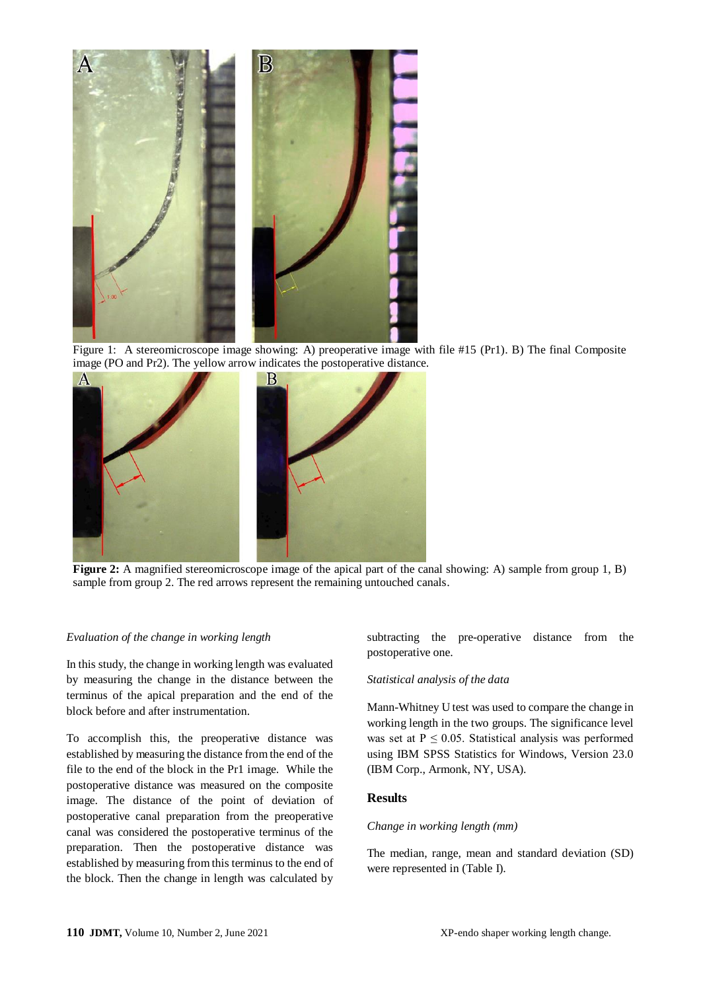

Figure 1: A stereomicroscope image showing: A) preoperative image with file #15 (Pr1). B) The final Composite image (PO and Pr2). The yellow arrow indicates the postoperative distance.



**Figure 2:** A magnified stereomicroscope image of the apical part of the canal showing: A) sample from group 1, B) sample from group 2. The red arrows represent the remaining untouched canals.

#### *Evaluation of the change in working length*

In this study, the change in working length was evaluated by measuring the change in the distance between the terminus of the apical preparation and the end of the block before and after instrumentation.

To accomplish this, the preoperative distance was established by measuring the distance from the end of the file to the end of the block in the Pr1 image. While the postoperative distance was measured on the composite image. The distance of the point of deviation of postoperative canal preparation from the preoperative canal was considered the postoperative terminus of the preparation. Then the postoperative distance was established by measuring from this terminus to the end of the block. Then the change in length was calculated by

subtracting the pre-operative distance from the postoperative one.

#### *Statistical analysis of the data*

Mann-Whitney U test was used to compare the change in working length in the two groups. The significance level was set at  $P \le 0.05$ . Statistical analysis was performed using IBM SPSS Statistics for Windows, Version 23.0 (IBM Corp., Armonk, NY, USA).

## **Results**

#### *Change in working length (mm)*

The median, range, mean and standard deviation (SD) were represented in (Table I).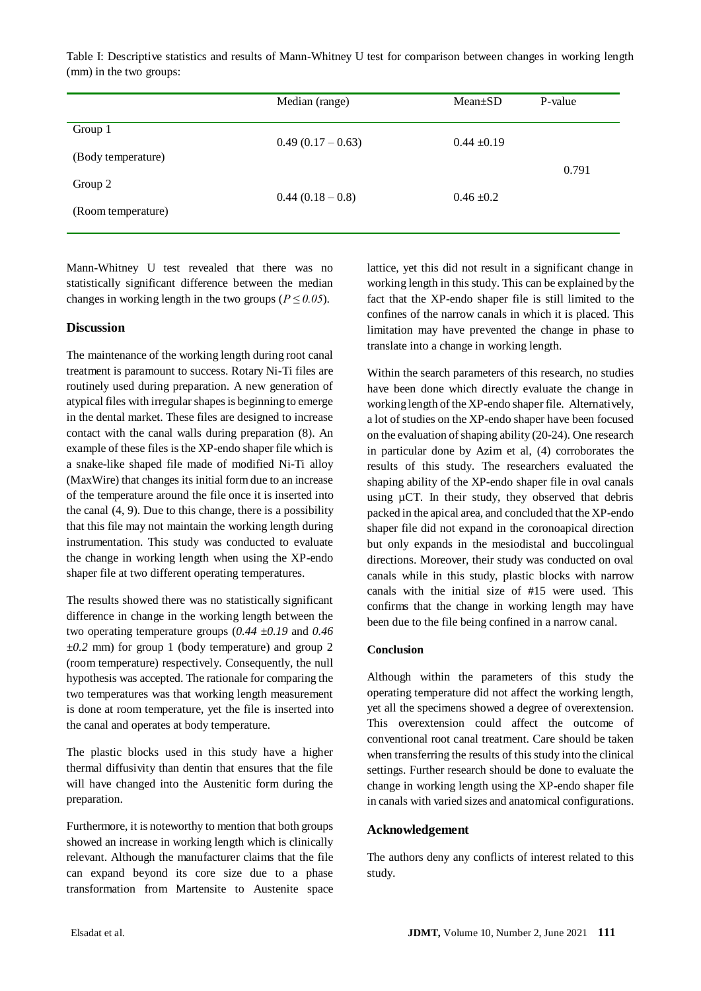Table I: Descriptive statistics and results of Mann-Whitney U test for comparison between changes in working length (mm) in the two groups:

|                    | Median (range)    | $Mean \pm SD$   | P-value |
|--------------------|-------------------|-----------------|---------|
| Group 1            | $0.49(0.17-0.63)$ | $0.44 \pm 0.19$ |         |
| (Body temperature) |                   |                 | 0.791   |
| Group 2            | $0.44(0.18-0.8)$  | $0.46 \pm 0.2$  |         |
| (Room temperature) |                   |                 |         |

Mann-Whitney U test revealed that there was no statistically significant difference between the median changes in working length in the two groups ( $P \le 0.05$ ).

## **Discussion**

The maintenance of the working length during root canal treatment is paramount to success. Rotary Ni-Ti files are routinely used during preparation. A new generation of atypical files with irregular shapes is beginning to emerge in the dental market. These files are designed to increase contact with the canal walls during preparation (8). An example of these files is the XP-endo shaper file which is a snake-like shaped file made of modified Ni-Ti alloy (MaxWire) that changes its initial form due to an increase of the temperature around the file once it is inserted into the canal (4, 9). Due to this change, there is a possibility that this file may not maintain the working length during instrumentation. This study was conducted to evaluate the change in working length when using the XP-endo shaper file at two different operating temperatures.

The results showed there was no statistically significant difference in change in the working length between the two operating temperature groups (*0.44 ±0.19* and *0.46 ±0.2* mm) for group 1 (body temperature) and group 2 (room temperature) respectively. Consequently, the null hypothesis was accepted. The rationale for comparing the two temperatures was that working length measurement is done at room temperature, yet the file is inserted into the canal and operates at body temperature.

The plastic blocks used in this study have a higher thermal diffusivity than dentin that ensures that the file will have changed into the Austenitic form during the preparation.

Furthermore, it is noteworthy to mention that both groups showed an increase in working length which is clinically relevant. Although the manufacturer claims that the file can expand beyond its core size due to a phase transformation from Martensite to Austenite space

lattice, yet this did not result in a significant change in working length in this study. This can be explained by the fact that the XP-endo shaper file is still limited to the confines of the narrow canals in which it is placed. This limitation may have prevented the change in phase to translate into a change in working length.

Within the search parameters of this research, no studies have been done which directly evaluate the change in working length of the XP-endo shaper file. Alternatively, a lot of studies on the XP-endo shaper have been focused on the evaluation of shaping ability (20-24). One research in particular done by Azim et al, (4) corroborates the results of this study. The researchers evaluated the shaping ability of the XP-endo shaper file in oval canals using µCT. In their study, they observed that debris packed in the apical area, and concluded that the XP-endo shaper file did not expand in the coronoapical direction but only expands in the mesiodistal and buccolingual directions. Moreover, their study was conducted on oval canals while in this study, plastic blocks with narrow canals with the initial size of #15 were used. This confirms that the change in working length may have been due to the file being confined in a narrow canal.

#### **Conclusion**

Although within the parameters of this study the operating temperature did not affect the working length, yet all the specimens showed a degree of overextension. This overextension could affect the outcome of conventional root canal treatment. Care should be taken when transferring the results of this study into the clinical settings. Further research should be done to evaluate the change in working length using the XP-endo shaper file in canals with varied sizes and anatomical configurations.

## **Acknowledgement**

The authors deny any conflicts of interest related to this study.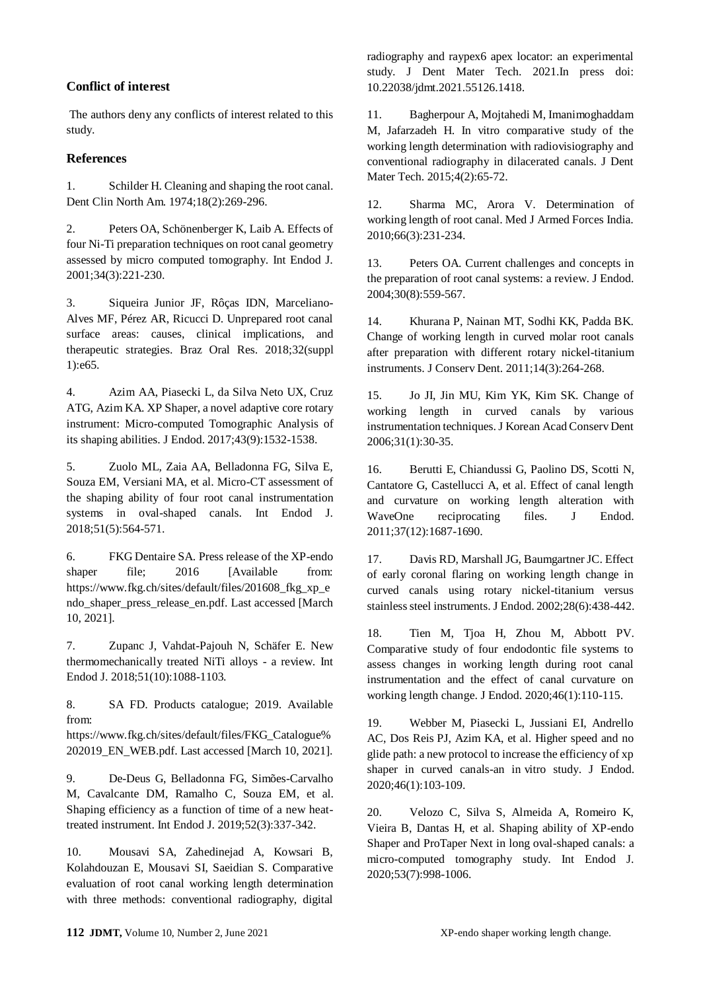## **Conflict of interest**

The authors deny any conflicts of interest related to this study.

## **References**

1. Schilder H. Cleaning and shaping the root canal. Dent Clin North Am. 1974;18(2):269-296.

2. Peters OA, Schönenberger K, Laib A. Effects of four Ni-Ti preparation techniques on root canal geometry assessed by micro computed tomography. Int Endod J. 2001;34(3):221-230.

3. Siqueira Junior JF, Rôças IDN, Marceliano-Alves MF, Pérez AR, Ricucci D. Unprepared root canal surface areas: causes, clinical implications, and therapeutic strategies. Braz Oral Res. 2018;32(suppl 1):e65.

4. Azim AA, Piasecki L, da Silva Neto UX, Cruz ATG, Azim KA. XP Shaper, a novel adaptive core rotary instrument: Micro-computed Tomographic Analysis of its shaping abilities. J Endod. 2017;43(9):1532-1538.

5. Zuolo ML, Zaia AA, Belladonna FG, Silva E, Souza EM, Versiani MA, et al. Micro-CT assessment of the shaping ability of four root canal instrumentation systems in oval-shaped canals. Int Endod J. 2018;51(5):564-571.

6. FKG Dentaire SA. Press release of the XP-endo shaper file; 2016 [Available from: [https://www.fkg.ch/sites/default/files/201608\\_fkg\\_xp\\_e](https://www.fkg.ch/sites/default/files/201608_fkg_xp_endo_shaper_press_release_en.pdf) [ndo\\_shaper\\_press\\_release\\_en.pdf.](https://www.fkg.ch/sites/default/files/201608_fkg_xp_endo_shaper_press_release_en.pdf) Last accessed [March 10, 2021].

7. Zupanc J, Vahdat-Pajouh N, Schäfer E. New thermomechanically treated NiTi alloys - a review. Int Endod J. 2018;51(10):1088-1103.

8. SA FD. Products catalogue; 2019. Available from: [https://www.fkg.ch/sites/default/files/FKG\\_Catalogue%](https://www.fkg.ch/sites/default/files/FKG_Catalogue%202019_EN_WEB.pdf)

[202019\\_EN\\_WEB.pdf.](https://www.fkg.ch/sites/default/files/FKG_Catalogue%202019_EN_WEB.pdf) Last accessed [March 10, 2021].

9. De-Deus G, Belladonna FG, Simões-Carvalho M, Cavalcante DM, Ramalho C, Souza EM, et al. Shaping efficiency as a function of time of a new heattreated instrument. Int Endod J. 2019;52(3):337-342.

10. Mousavi SA, Zahedinejad A, Kowsari B, Kolahdouzan E, Mousavi SI, Saeidian S. Comparative evaluation of root canal working length determination with three methods: conventional radiography, digital

radiography and raypex6 apex locator: an experimental study. J Dent Mater Tech. 2021.In press doi: 10.22038/jdmt.2021.55126.1418.

11. Bagherpour A, Mojtahedi M, Imanimoghaddam M, Jafarzadeh H. In vitro comparative study of the working length determination with radiovisiography and conventional radiography in dilacerated canals. J Dent Mater Tech. 2015;4(2):65-72.

12. Sharma MC, Arora V. Determination of working length of root canal. Med J Armed Forces India. 2010;66(3):231-234.

13. Peters OA. Current challenges and concepts in the preparation of root canal systems: a review. J Endod. 2004;30(8):559-567.

14. Khurana P, Nainan MT, Sodhi KK, Padda BK. Change of working length in curved molar root canals after preparation with different rotary nickel-titanium instruments. J Conserv Dent. 2011;14(3):264-268.

15. Jo JI, Jin MU, Kim YK, Kim SK. Change of working length in curved canals by various instrumentation techniques. J Korean Acad Conserv Dent 2006;31(1):30-35.

16. Berutti E, Chiandussi G, Paolino DS, Scotti N, Cantatore G, Castellucci A, et al. Effect of canal length and curvature on working length alteration with WaveOne reciprocating files. J Endod. 2011;37(12):1687-1690.

17. Davis RD, Marshall JG, Baumgartner JC. Effect of early coronal flaring on working length change in curved canals using rotary nickel-titanium versus stainless steel instruments. J Endod. 2002;28(6):438-442.

18. Tien M, Tjoa H, Zhou M, Abbott PV. Comparative study of four endodontic file systems to assess changes in working length during root canal instrumentation and the effect of canal curvature on working length change. J Endod. 2020;46(1):110-115.

19. Webber M, Piasecki L, Jussiani EI, Andrello AC, Dos Reis PJ, Azim KA, et al. Higher speed and no glide path: a new protocol to increase the efficiency of xp shaper in curved canals-an in vitro study. J Endod. 2020;46(1):103-109.

20. Velozo C, Silva S, Almeida A, Romeiro K, Vieira B, Dantas H, et al. Shaping ability of XP-endo Shaper and ProTaper Next in long oval-shaped canals: a micro-computed tomography study. Int Endod J. 2020;53(7):998-1006.